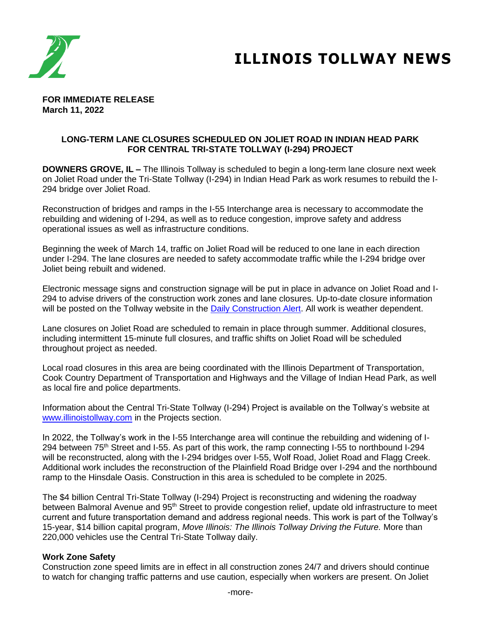

# **ILLINOIS TOLLWAY NEWS**

#### **FOR IMMEDIATE RELEASE March 11, 2022**

### **LONG-TERM LANE CLOSURES SCHEDULED ON JOLIET ROAD IN INDIAN HEAD PARK FOR CENTRAL TRI-STATE TOLLWAY (I-294) PROJECT**

**DOWNERS GROVE, IL –** The Illinois Tollway is scheduled to begin a long-term lane closure next week on Joliet Road under the Tri-State Tollway (I-294) in Indian Head Park as work resumes to rebuild the I-294 bridge over Joliet Road.

Reconstruction of bridges and ramps in the I-55 Interchange area is necessary to accommodate the rebuilding and widening of I-294, as well as to reduce congestion, improve safety and address operational issues as well as infrastructure conditions.

Beginning the week of March 14, traffic on Joliet Road will be reduced to one lane in each direction under I-294. The lane closures are needed to safety accommodate traffic while the I-294 bridge over Joliet being rebuilt and widened.

Electronic message signs and construction signage will be put in place in advance on Joliet Road and I-294 to advise drivers of the construction work zones and lane closures. Up-to-date closure information will be posted on the Tollway website in the [Daily Construction Alert.](https://www.illinoistollway.com/media-center/construction-alerts) All work is weather dependent.

Lane closures on Joliet Road are scheduled to remain in place through summer. Additional closures, including intermittent 15-minute full closures, and traffic shifts on Joliet Road will be scheduled throughout project as needed.

Local road closures in this area are being coordinated with the Illinois Department of Transportation, Cook Country Department of Transportation and Highways and the Village of Indian Head Park, as well as local fire and police departments.

Information about the Central Tri-State Tollway (I-294) Project is available on the Tollway's website at [www.illinoistollway.com](http://www.illinoistollway.com/) in the Projects section.

In 2022, the Tollway's work in the I-55 Interchange area will continue the rebuilding and widening of I-294 between 75<sup>th</sup> Street and I-55. As part of this work, the ramp connecting I-55 to northbound I-294 will be reconstructed, along with the I-294 bridges over I-55, Wolf Road, Joliet Road and Flagg Creek. Additional work includes the reconstruction of the Plainfield Road Bridge over I-294 and the northbound ramp to the Hinsdale Oasis. Construction in this area is scheduled to be complete in 2025.

The \$4 billion Central Tri-State Tollway (I-294) Project is reconstructing and widening the roadway between Balmoral Avenue and 95<sup>th</sup> Street to provide congestion relief, update old infrastructure to meet current and future transportation demand and address regional needs. This work is part of the Tollway's 15-year, \$14 billion capital program, *Move Illinois: The Illinois Tollway Driving the Future.* More than 220,000 vehicles use the Central Tri-State Tollway daily.

### **Work Zone Safety**

Construction zone speed limits are in effect in all construction zones 24/7 and drivers should continue to watch for changing traffic patterns and use caution, especially when workers are present. On Joliet